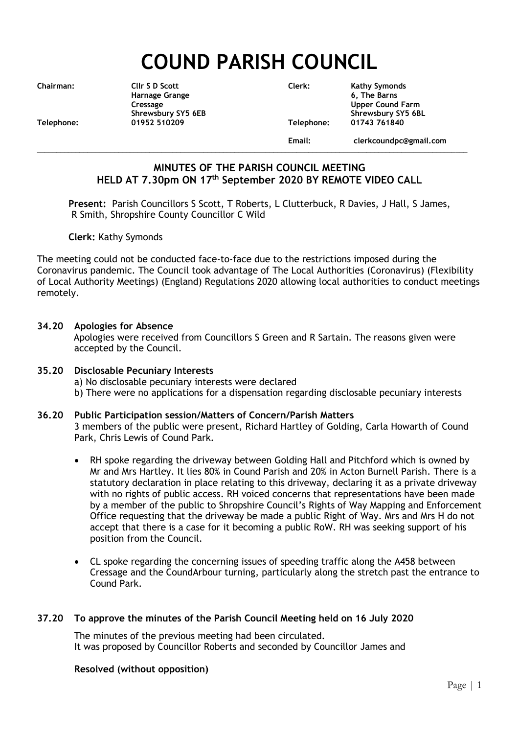# **COUND PARISH COUNCIL**

| <b>Chairman:</b> | Cllr S D Scott     |
|------------------|--------------------|
|                  | Harnage Grange     |
|                  | Cressage           |
|                  | Shrewsbury SY5 6EB |
| Telephone:       | 01952 510209       |
|                  |                    |

**Chairman: Cllr S D Scott Clerk: Kathy Symonds Harnage Grange 6, The Barns Upper Cound Farm** Shrewsbury SY5 6BL<br>Telephone: 01743 761840 **Telephone: 01952 510209 Telephone: 01743 761840 Email: clerkcoundpc@gmail.com**

**\_\_\_\_\_\_\_\_\_\_\_\_\_\_\_\_\_\_\_\_\_\_\_\_\_\_\_\_\_\_\_\_\_\_\_\_\_\_\_\_\_\_\_\_\_\_\_\_\_\_\_\_\_\_\_\_\_\_\_\_\_\_\_\_\_\_\_\_\_\_\_\_\_\_\_\_\_\_\_\_\_\_\_\_\_\_\_\_\_\_\_\_\_\_\_\_\_\_\_\_\_\_\_\_\_\_\_\_\_\_\_**

# **MINUTES OF THE PARISH COUNCIL MEETING HELD AT 7.30pm ON 17 th September 2020 BY REMOTE VIDEO CALL**

**Present:** Parish Councillors S Scott, T Roberts, L Clutterbuck, R Davies, J Hall, S James, R Smith, Shropshire County Councillor C Wild

**Clerk:** Kathy Symonds

The meeting could not be conducted face-to-face due to the restrictions imposed during the Coronavirus pandemic. The Council took advantage of The Local Authorities (Coronavirus) (Flexibility of Local Authority Meetings) (England) Regulations 2020 allowing local authorities to conduct meetings remotely.

#### **34.20 Apologies for Absence**

Apologies were received from Councillors S Green and R Sartain. The reasons given were accepted by the Council.

#### **35.20 Disclosable Pecuniary Interests**

a) No disclosable pecuniary interests were declared

b) There were no applications for a dispensation regarding disclosable pecuniary interests

#### **36.20 Public Participation session/Matters of Concern/Parish Matters** 3 members of the public were present, Richard Hartley of Golding, Carla Howarth of Cound Park, Chris Lewis of Cound Park.

- RH spoke regarding the driveway between Golding Hall and Pitchford which is owned by Mr and Mrs Hartley. It lies 80% in Cound Parish and 20% in Acton Burnell Parish. There is a statutory declaration in place relating to this driveway, declaring it as a private driveway with no rights of public access. RH voiced concerns that representations have been made by a member of the public to Shropshire Council's Rights of Way Mapping and Enforcement Office requesting that the driveway be made a public Right of Way. Mrs and Mrs H do not accept that there is a case for it becoming a public RoW. RH was seeking support of his position from the Council.
- CL spoke regarding the concerning issues of speeding traffic along the A458 between Cressage and the CoundArbour turning, particularly along the stretch past the entrance to Cound Park.

#### **37.20 To approve the minutes of the Parish Council Meeting held on 16 July 2020**

The minutes of the previous meeting had been circulated. It was proposed by Councillor Roberts and seconded by Councillor James and

#### **Resolved (without opposition)**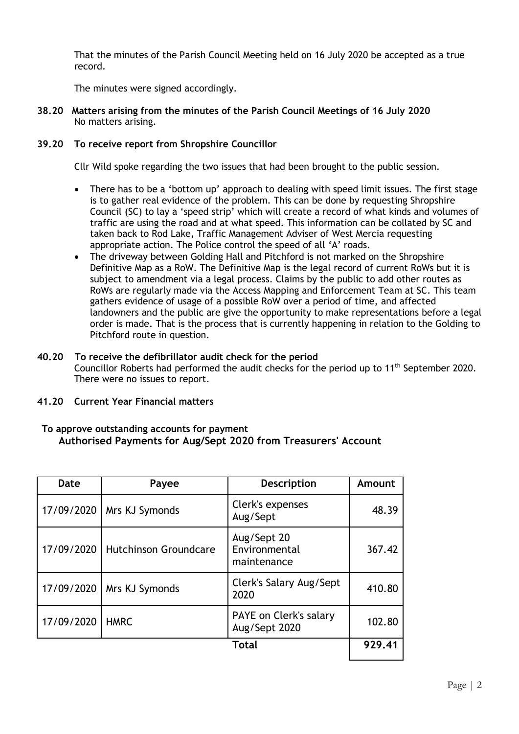That the minutes of the Parish Council Meeting held on 16 July 2020 be accepted as a true record.

The minutes were signed accordingly.

**38.20 Matters arising from the minutes of the Parish Council Meetings of 16 July 2020** No matters arising.

## **39.20 To receive report from Shropshire Councillor**

Cllr Wild spoke regarding the two issues that had been brought to the public session.

- There has to be a 'bottom up' approach to dealing with speed limit issues. The first stage is to gather real evidence of the problem. This can be done by requesting Shropshire Council (SC) to lay a 'speed strip' which will create a record of what kinds and volumes of traffic are using the road and at what speed. This information can be collated by SC and taken back to Rod Lake, Traffic Management Adviser of West Mercia requesting appropriate action. The Police control the speed of all 'A' roads.
- The driveway between Golding Hall and Pitchford is not marked on the Shropshire Definitive Map as a RoW. The Definitive Map is the legal record of current RoWs but it is subject to amendment via a legal process. Claims by the public to add other routes as RoWs are regularly made via the Access Mapping and Enforcement Team at SC. This team gathers evidence of usage of a possible RoW over a period of time, and affected landowners and the public are give the opportunity to make representations before a legal order is made. That is the process that is currently happening in relation to the Golding to Pitchford route in question.

## **40.20 To receive the defibrillator audit check for the period**

Councillor Roberts had performed the audit checks for the period up to  $11<sup>th</sup>$  September 2020. There were no issues to report.

## **41.20 Current Year Financial matters**

#### **To approve outstanding accounts for payment Authorised Payments for Aug/Sept 2020 from Treasurers' Account**

| Date       | Payee                        | Description                                 | Amount |
|------------|------------------------------|---------------------------------------------|--------|
| 17/09/2020 | Mrs KJ Symonds               | Clerk's expenses<br>Aug/Sept                | 48.39  |
| 17/09/2020 | <b>Hutchinson Groundcare</b> | Aug/Sept 20<br>Environmental<br>maintenance | 367.42 |
| 17/09/2020 | Mrs KJ Symonds               | Clerk's Salary Aug/Sept<br>2020             | 410.80 |
| 17/09/2020 | <b>HMRC</b>                  | PAYE on Clerk's salary<br>Aug/Sept 2020     | 102.80 |
|            |                              | <b>Total</b>                                | 929.41 |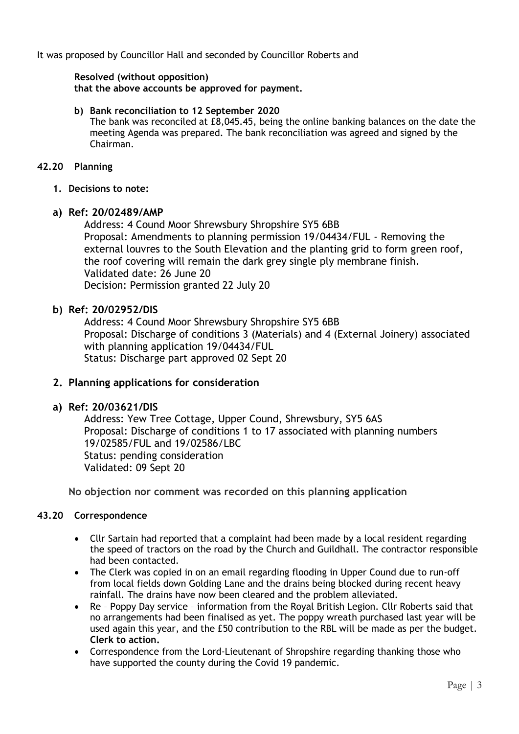It was proposed by Councillor Hall and seconded by Councillor Roberts and

## **Resolved (without opposition)**

**that the above accounts be approved for payment.**

#### **b) Bank reconciliation to 12 September 2020**

The bank was reconciled at £8,045.45, being the online banking balances on the date the meeting Agenda was prepared. The bank reconciliation was agreed and signed by the Chairman.

## **42.20 Planning**

**1. Decisions to note:** 

## **a) Ref: 20/02489/AMP**

Address: 4 Cound Moor Shrewsbury Shropshire SY5 6BB Proposal: Amendments to planning permission 19/04434/FUL - Removing the external louvres to the South Elevation and the planting grid to form green roof, the roof covering will remain the dark grey single ply membrane finish. Validated date: 26 June 20 Decision: Permission granted 22 July 20

## **b) Ref: 20/02952/DIS**

Address: 4 Cound Moor Shrewsbury Shropshire SY5 6BB Proposal: Discharge of conditions 3 (Materials) and 4 (External Joinery) associated with planning application 19/04434/FUL Status: Discharge part approved 02 Sept 20

# **2. Planning applications for consideration**

# **a) Ref: 20/03621/DIS**

Address: Yew Tree Cottage, Upper Cound, Shrewsbury, SY5 6AS Proposal: Discharge of conditions 1 to 17 associated with planning numbers 19/02585/FUL and 19/02586/LBC Status: pending consideration Validated: 09 Sept 20

**No objection nor comment was recorded on this planning application**

#### **43.20 Correspondence**

- Cllr Sartain had reported that a complaint had been made by a local resident regarding the speed of tractors on the road by the Church and Guildhall. The contractor responsible had been contacted.
- The Clerk was copied in on an email regarding flooding in Upper Cound due to run-off from local fields down Golding Lane and the drains being blocked during recent heavy rainfall. The drains have now been cleared and the problem alleviated.
- Re Poppy Day service information from the Royal British Legion. Cllr Roberts said that no arrangements had been finalised as yet. The poppy wreath purchased last year will be used again this year, and the £50 contribution to the RBL will be made as per the budget. **Clerk to action.**
- Correspondence from the Lord-Lieutenant of Shropshire regarding thanking those who have supported the county during the Covid 19 pandemic.